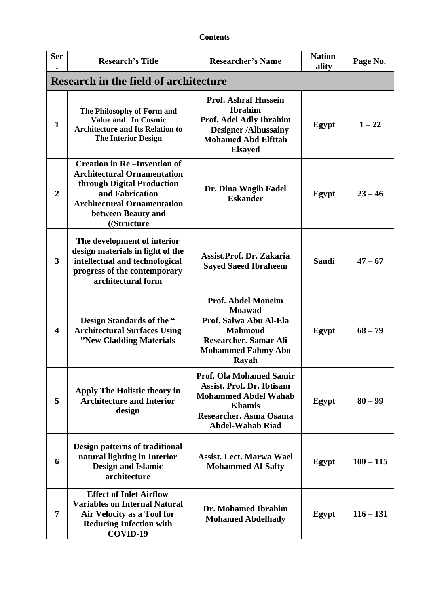| <b>Ser</b>              | <b>Research's Title</b>                                                                                                                                                                              | <b>Researcher's Name</b>                                                                                                                                                       | <b>Nation-</b><br>ality | Page No.    |  |
|-------------------------|------------------------------------------------------------------------------------------------------------------------------------------------------------------------------------------------------|--------------------------------------------------------------------------------------------------------------------------------------------------------------------------------|-------------------------|-------------|--|
|                         | <b>Research in the field of architecture</b>                                                                                                                                                         |                                                                                                                                                                                |                         |             |  |
| 1                       | The Philosophy of Form and<br><b>Value and In Cosmic</b><br><b>Architecture and Its Relation to</b><br><b>The Interior Design</b>                                                                    | <b>Prof. Ashraf Hussein</b><br><b>Ibrahim</b><br>Prof. Adel Adly Ibrahim<br><b>Designer/Alhussainy</b><br><b>Mohamed Abd Elfttah</b><br><b>Elsayed</b>                         | Egypt                   | $1 - 22$    |  |
| $\boldsymbol{2}$        | <b>Creation in Re-Invention of</b><br><b>Architectural Ornamentation</b><br>through Digital Production<br>and Fabrication<br><b>Architectural Ornamentation</b><br>between Beauty and<br>((Structure | Dr. Dina Wagih Fadel<br><b>Eskander</b>                                                                                                                                        | Egypt                   | $23 - 46$   |  |
| $\overline{\mathbf{3}}$ | The development of interior<br>design materials in light of the<br>intellectual and technological<br>progress of the contemporary<br>architectural form                                              | Assist.Prof. Dr. Zakaria<br><b>Sayed Saeed Ibraheem</b>                                                                                                                        | <b>Saudi</b>            | $47 - 67$   |  |
| $\overline{\mathbf{4}}$ | Design Standards of the "<br><b>Architectural Surfaces Using</b><br>"New Cladding Materials                                                                                                          | <b>Prof. Abdel Moneim</b><br><b>Moawad</b><br>Prof. Salwa Abu Al-Ela<br><b>Mahmoud</b><br>Researcher. Samar Ali<br><b>Mohammed Fahmy Abo</b><br>Rayah                          | Egypt                   | $68 - 79$   |  |
| 5                       | Apply The Holistic theory in<br><b>Architecture and Interior</b><br>design                                                                                                                           | <b>Prof. Ola Mohamed Samir</b><br><b>Assist. Prof. Dr. Ibtisam</b><br><b>Mohammed Abdel Wahab</b><br><b>Khamis</b><br><b>Researcher. Asma Osama</b><br><b>Abdel-Wahab Riad</b> | Egypt                   | $80 - 99$   |  |
| 6                       | Design patterns of traditional<br>natural lighting in Interior<br><b>Design and Islamic</b><br>architecture                                                                                          | <b>Assist. Lect. Marwa Wael</b><br><b>Mohammed Al-Safty</b>                                                                                                                    | Egypt                   | $100 - 115$ |  |
| 7                       | <b>Effect of Inlet Airflow</b><br><b>Variables on Internal Natural</b><br>Air Velocity as a Tool for<br><b>Reducing Infection with</b><br>COVID-19                                                   | Dr. Mohamed Ibrahim<br><b>Mohamed Abdelhady</b>                                                                                                                                | Egypt                   | $116 - 131$ |  |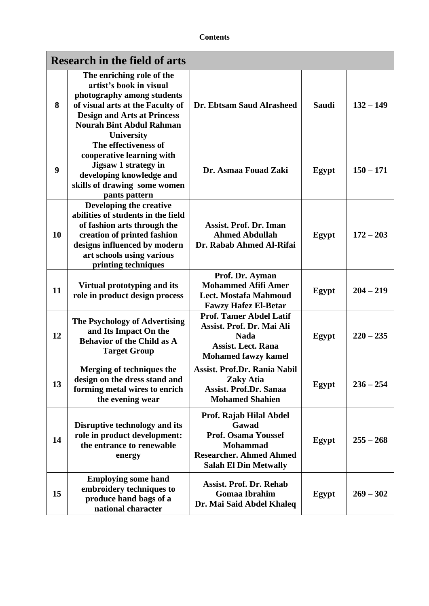| <b>Research in the field of arts</b> |                                                                                                                                                                                                                      |                                                                                                                                                     |              |             |
|--------------------------------------|----------------------------------------------------------------------------------------------------------------------------------------------------------------------------------------------------------------------|-----------------------------------------------------------------------------------------------------------------------------------------------------|--------------|-------------|
| 8                                    | The enriching role of the<br>artist's book in visual<br>photography among students<br>of visual arts at the Faculty of<br><b>Design and Arts at Princess</b><br><b>Nourah Bint Abdul Rahman</b><br><b>University</b> | Dr. Ebtsam Saud Alrasheed                                                                                                                           | <b>Saudi</b> | $132 - 149$ |
| 9                                    | The effectiveness of<br>cooperative learning with<br><b>Jigsaw 1 strategy in</b><br>developing knowledge and<br>skills of drawing some women<br>pants pattern                                                        | Dr. Asmaa Fouad Zaki                                                                                                                                | Egypt        | $150 - 171$ |
| 10                                   | Developing the creative<br>abilities of students in the field<br>of fashion arts through the<br>creation of printed fashion<br>designs influenced by modern<br>art schools using various<br>printing techniques      | <b>Assist. Prof. Dr. Iman</b><br><b>Ahmed Abdullah</b><br>Dr. Rabab Ahmed Al-Rifai                                                                  | Egypt        | $172 - 203$ |
| 11                                   | Virtual prototyping and its<br>role in product design process                                                                                                                                                        | Prof. Dr. Ayman<br><b>Mohammed Afifi Amer</b><br>Lect. Mostafa Mahmoud<br><b>Fawzy Hafez El-Betar</b>                                               | Egypt        | $204 - 219$ |
| 12                                   | The Psychology of Advertising<br>and Its Impact On the<br><b>Behavior of the Child as A</b><br><b>Target Group</b>                                                                                                   | <b>Prof. Tamer Abdel Latif</b><br>Assist. Prof. Dr. Mai Ali<br><b>Nada</b><br><b>Assist. Lect. Rana</b><br><b>Mohamed fawzy kamel</b>               | Egypt        | $220 - 235$ |
| 13                                   | Merging of techniques the<br>design on the dress stand and<br>forming metal wires to enrich<br>the evening wear                                                                                                      | Assist. Prof.Dr. Rania Nabil<br><b>Zaky Atia</b><br><b>Assist. Prof.Dr. Sanaa</b><br><b>Mohamed Shahien</b>                                         | Egypt        | $236 - 254$ |
| 14                                   | Disruptive technology and its<br>role in product development:<br>the entrance to renewable<br>energy                                                                                                                 | Prof. Rajab Hilal Abdel<br>Gawad<br><b>Prof. Osama Youssef</b><br><b>Mohammad</b><br><b>Researcher. Ahmed Ahmed</b><br><b>Salah El Din Metwally</b> | Egypt        | $255 - 268$ |
| 15                                   | <b>Employing some hand</b><br>embroidery techniques to<br>produce hand bags of a<br>national character                                                                                                               | <b>Assist. Prof. Dr. Rehab</b><br><b>Gomaa Ibrahim</b><br>Dr. Mai Said Abdel Khaleq                                                                 | Egypt        | $269 - 302$ |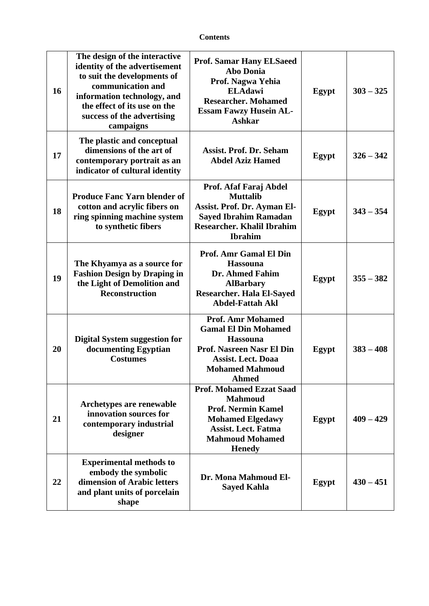| 16 | The design of the interactive<br>identity of the advertisement<br>to suit the developments of<br>communication and<br>information technology, and<br>the effect of its use on the<br>success of the advertising<br>campaigns | <b>Prof. Samar Hany ELSaeed</b><br><b>Abo Donia</b><br>Prof. Nagwa Yehia<br><b>ELAdawi</b><br><b>Researcher. Mohamed</b><br><b>Essam Fawzy Husein AL-</b><br><b>Ashkar</b>            | Egypt | $303 - 325$ |
|----|------------------------------------------------------------------------------------------------------------------------------------------------------------------------------------------------------------------------------|---------------------------------------------------------------------------------------------------------------------------------------------------------------------------------------|-------|-------------|
| 17 | The plastic and conceptual<br>dimensions of the art of<br>contemporary portrait as an<br>indicator of cultural identity                                                                                                      | <b>Assist. Prof. Dr. Seham</b><br><b>Abdel Aziz Hamed</b>                                                                                                                             | Egypt | $326 - 342$ |
| 18 | <b>Produce Fanc Yarn blender of</b><br>cotton and acrylic fibers on<br>ring spinning machine system<br>to synthetic fibers                                                                                                   | Prof. Afaf Faraj Abdel<br><b>Muttalib</b><br>Assist. Prof. Dr. Ayman El-<br><b>Sayed Ibrahim Ramadan</b><br><b>Researcher. Khalil Ibrahim</b><br><b>Ibrahim</b>                       | Egypt | $343 - 354$ |
| 19 | The Khyamya as a source for<br><b>Fashion Design by Draping in</b><br>the Light of Demolition and<br><b>Reconstruction</b>                                                                                                   | <b>Prof. Amr Gamal El Din</b><br><b>Hassouna</b><br>Dr. Ahmed Fahim<br><b>AlBarbary</b><br><b>Researcher. Hala El-Sayed</b><br><b>Abdel-Fattah Akl</b>                                | Egypt | $355 - 382$ |
| 20 | <b>Digital System suggestion for</b><br>documenting Egyptian<br><b>Costumes</b>                                                                                                                                              | <b>Prof. Amr Mohamed</b><br><b>Gamal El Din Mohamed</b><br><b>Hassouna</b><br><b>Prof. Nasreen Nasr El Din</b><br><b>Assist. Lect. Doaa</b><br><b>Mohamed Mahmoud</b><br><b>Ahmed</b> | Egypt | $383 - 408$ |
| 21 | Archetypes are renewable<br>innovation sources for<br>contemporary industrial<br>designer                                                                                                                                    | <b>Prof. Mohamed Ezzat Saad</b><br><b>Mahmoud</b><br><b>Prof. Nermin Kamel</b><br><b>Mohamed Elgedawy</b><br><b>Assist. Lect. Fatma</b><br><b>Mahmoud Mohamed</b><br><b>Henedy</b>    | Egypt | $409 - 429$ |
| 22 | <b>Experimental methods to</b><br>embody the symbolic<br>dimension of Arabic letters<br>and plant units of porcelain<br>shape                                                                                                | Dr. Mona Mahmoud El-<br><b>Sayed Kahla</b>                                                                                                                                            | Egypt | $430 - 451$ |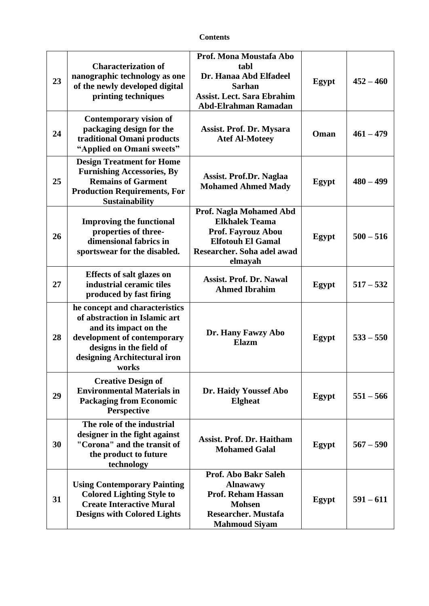| 23 | <b>Characterization of</b><br>nanographic technology as one<br>of the newly developed digital<br>printing techniques                                                                        | Prof. Mona Moustafa Abo<br>tabl<br>Dr. Hanaa Abd Elfadeel<br><b>Sarhan</b><br><b>Assist. Lect. Sara Ebrahim</b><br><b>Abd-Elrahman Ramadan</b>            | Egypt | $452 - 460$ |
|----|---------------------------------------------------------------------------------------------------------------------------------------------------------------------------------------------|-----------------------------------------------------------------------------------------------------------------------------------------------------------|-------|-------------|
| 24 | <b>Contemporary vision of</b><br>packaging design for the<br>traditional Omani products<br>"Applied on Omani sweets"                                                                        | Assist. Prof. Dr. Mysara<br><b>Atef Al-Moteey</b>                                                                                                         | Oman  | $461 - 479$ |
| 25 | <b>Design Treatment for Home</b><br><b>Furnishing Accessories, By</b><br><b>Remains of Garment</b><br><b>Production Requirements, For</b><br><b>Sustainability</b>                          | Assist. Prof.Dr. Naglaa<br><b>Mohamed Ahmed Mady</b>                                                                                                      | Egypt | $480 - 499$ |
| 26 | <b>Improving the functional</b><br>properties of three-<br>dimensional fabrics in<br>sportswear for the disabled.                                                                           | <b>Prof. Nagla Mohamed Abd</b><br><b>Elkhalek Teama</b><br><b>Prof. Fayrouz Abou</b><br><b>Elfotouh El Gamal</b><br>Researcher. Soha adel awad<br>elmayah | Egypt | $500 - 516$ |
| 27 | Effects of salt glazes on<br>industrial ceramic tiles<br>produced by fast firing                                                                                                            | <b>Assist. Prof. Dr. Nawal</b><br><b>Ahmed Ibrahim</b>                                                                                                    | Egypt | $517 - 532$ |
| 28 | he concept and characteristics<br>of abstraction in Islamic art<br>and its impact on the<br>development of contemporary<br>designs in the field of<br>designing Architectural iron<br>works | Dr. Hany Fawzy Abo<br>Elazm                                                                                                                               | Egypt | $533 - 550$ |
| 29 | <b>Creative Design of</b><br><b>Environmental Materials in</b><br><b>Packaging from Economic</b><br>Perspective                                                                             | Dr. Haidy Youssef Abo<br><b>Elgheat</b>                                                                                                                   | Egypt | $551 - 566$ |
| 30 | The role of the industrial<br>designer in the fight against<br>"Corona" and the transit of<br>the product to future<br>technology                                                           | <b>Assist. Prof. Dr. Haitham</b><br><b>Mohamed Galal</b>                                                                                                  | Egypt | $567 - 590$ |
| 31 | <b>Using Contemporary Painting</b><br><b>Colored Lighting Style to</b><br><b>Create Interactive Mural</b><br><b>Designs with Colored Lights</b>                                             | Prof. Abo Bakr Saleh<br><b>Alnawawy</b><br><b>Prof. Reham Hassan</b><br><b>Mohsen</b><br><b>Researcher. Mustafa</b><br><b>Mahmoud Siyam</b>               | Egypt | $591 - 611$ |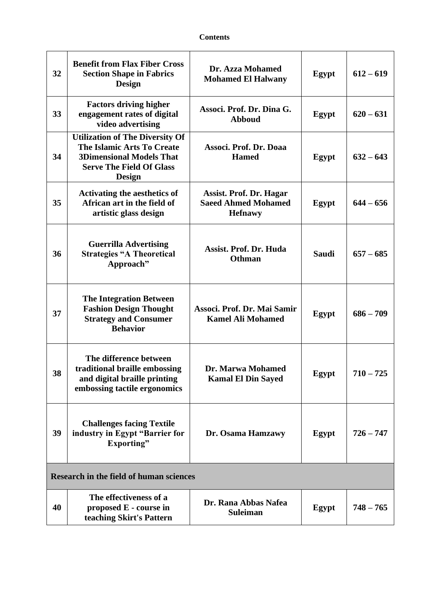| 32                                             | <b>Benefit from Flax Fiber Cross</b><br><b>Section Shape in Fabrics</b><br><b>Design</b>                                                                           | Dr. Azza Mohamed<br><b>Mohamed El Halwany</b>                                  | Egypt        | $612 - 619$ |
|------------------------------------------------|--------------------------------------------------------------------------------------------------------------------------------------------------------------------|--------------------------------------------------------------------------------|--------------|-------------|
| 33                                             | <b>Factors driving higher</b><br>engagement rates of digital<br>video advertising                                                                                  | Associ. Prof. Dr. Dina G.<br><b>Abboud</b>                                     | Egypt        | $620 - 631$ |
| 34                                             | <b>Utilization of The Diversity Of</b><br><b>The Islamic Arts To Create</b><br><b>3Dimensional Models That</b><br><b>Serve The Field Of Glass</b><br><b>Design</b> | Associ. Prof. Dr. Doaa<br><b>Hamed</b>                                         | <b>Egypt</b> | $632 - 643$ |
| 35                                             | <b>Activating the aesthetics of</b><br>African art in the field of<br>artistic glass design                                                                        | <b>Assist. Prof. Dr. Hagar</b><br><b>Saeed Ahmed Mohamed</b><br><b>Hefnawy</b> | Egypt        | $644 - 656$ |
| 36                                             | <b>Guerrilla Advertising</b><br><b>Strategies "A Theoretical</b><br>Approach"                                                                                      | <b>Assist. Prof. Dr. Huda</b><br><b>Othman</b>                                 | Saudi        | $657 - 685$ |
| 37                                             | <b>The Integration Between</b><br><b>Fashion Design Thought</b><br><b>Strategy and Consumer</b><br><b>Behavior</b>                                                 | Associ. Prof. Dr. Mai Samir<br><b>Kamel Ali Mohamed</b>                        | Egypt        | $686 - 709$ |
| 38                                             | The difference between<br>traditional braille embossing<br>and digital braille printing<br>embossing tactile ergonomics                                            | Dr. Marwa Mohamed<br><b>Kamal El Din Sayed</b>                                 | Egypt        | 725<br>710  |
| 39                                             | <b>Challenges facing Textile</b><br>industry in Egypt "Barrier for<br>Exporting"                                                                                   | Dr. Osama Hamzawy                                                              | Egypt        | $726 - 747$ |
| <b>Research in the field of human sciences</b> |                                                                                                                                                                    |                                                                                |              |             |
| 40                                             | The effectiveness of a<br>proposed E - course in<br>teaching Skirt's Pattern                                                                                       | Dr. Rana Abbas Nafea<br><b>Suleiman</b>                                        | Egypt        | $748 - 765$ |